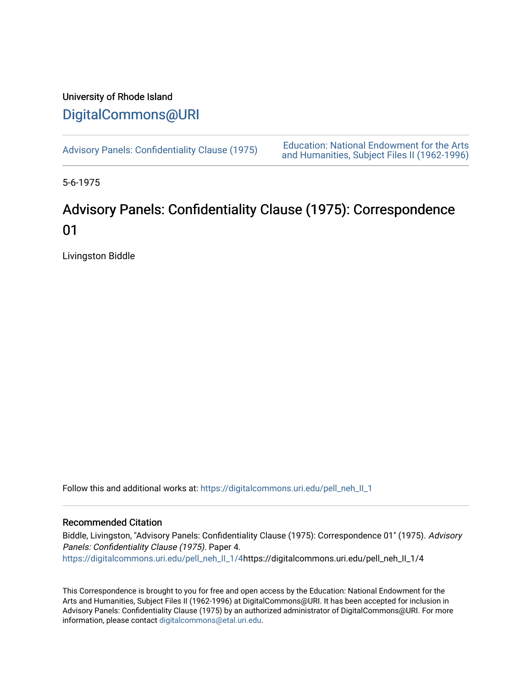## University of Rhode Island [DigitalCommons@URI](https://digitalcommons.uri.edu/)

[Advisory Panels: Confidentiality Clause \(1975\)](https://digitalcommons.uri.edu/pell_neh_II_1) [Education: National Endowment for the Arts](https://digitalcommons.uri.edu/pell_neh_II)  [and Humanities, Subject Files II \(1962-1996\)](https://digitalcommons.uri.edu/pell_neh_II) 

5-6-1975

## Advisory Panels: Confidentiality Clause (1975): Correspondence 01

Livingston Biddle

Follow this and additional works at: [https://digitalcommons.uri.edu/pell\\_neh\\_II\\_1](https://digitalcommons.uri.edu/pell_neh_II_1?utm_source=digitalcommons.uri.edu%2Fpell_neh_II_1%2F4&utm_medium=PDF&utm_campaign=PDFCoverPages) 

## Recommended Citation

Biddle, Livingston, "Advisory Panels: Confidentiality Clause (1975): Correspondence 01" (1975). Advisory Panels: Confidentiality Clause (1975). Paper 4. [https://digitalcommons.uri.edu/pell\\_neh\\_II\\_1/4](https://digitalcommons.uri.edu/pell_neh_II_1/4?utm_source=digitalcommons.uri.edu%2Fpell_neh_II_1%2F4&utm_medium=PDF&utm_campaign=PDFCoverPages)https://digitalcommons.uri.edu/pell\_neh\_II\_1/4

This Correspondence is brought to you for free and open access by the Education: National Endowment for the Arts and Humanities, Subject Files II (1962-1996) at DigitalCommons@URI. It has been accepted for inclusion in Advisory Panels: Confidentiality Clause (1975) by an authorized administrator of DigitalCommons@URI. For more information, please contact [digitalcommons@etal.uri.edu.](mailto:digitalcommons@etal.uri.edu)